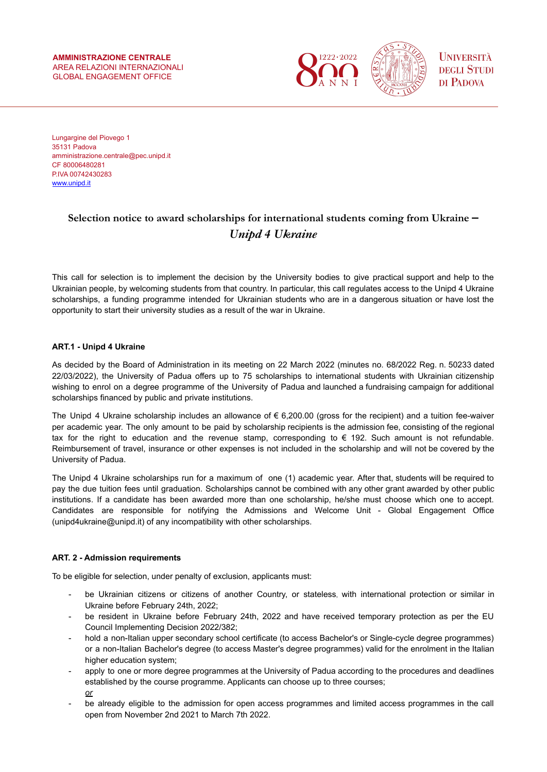

Lungargine del Piovego 1 35131 Padova amministrazione.centrale@pec.unipd.it CF 80006480281 P.IVA 00742430283 [www.unipd.it](http://www.unipd.it)

# **Selection notice to award scholarships for international students coming from Ukraine –** *Unipd 4 Ukraine*

This call for selection is to implement the decision by the University bodies to give practical support and help to the Ukrainian people, by welcoming students from that country. In particular, this call regulates access to the Unipd 4 Ukraine scholarships, a funding programme intended for Ukrainian students who are in a dangerous situation or have lost the opportunity to start their university studies as a result of the war in Ukraine.

## **ART.1 - Unipd 4 Ukraine**

As decided by the Board of Administration in its meeting on 22 March 2022 (minutes no. 68/2022 Reg. n. 50233 dated 22/03/2022), the University of Padua offers up to 75 scholarships to international students with Ukrainian citizenship wishing to enrol on a degree programme of the University of Padua and launched a fundraising campaign for additional scholarships financed by public and private institutions.

The Unipd 4 Ukraine scholarship includes an allowance of  $\epsilon$  6,200.00 (gross for the recipient) and a tuition fee-waiver per academic year. The only amount to be paid by scholarship recipients is the admission fee, consisting of the regional tax for the right to education and the revenue stamp, corresponding to € 192. Such amount is not refundable. Reimbursement of travel, insurance or other expenses is not included in the scholarship and will not be covered by the University of Padua.

The Unipd 4 Ukraine scholarships run for a maximum of one (1) academic year. After that, students will be required to pay the due tuition fees until graduation. Scholarships cannot be combined with any other grant awarded by other public institutions. If a candidate has been awarded more than one scholarship, he/she must choose which one to accept. Candidates are responsible for notifying the Admissions and Welcome Unit - Global Engagement Office (unipd4ukraine@unipd.it) of any incompatibility with other scholarships.

## **ART. 2 - Admission requirements**

To be eligible for selection, under penalty of exclusion, applicants must:

- be Ukrainian citizens or citizens of another Country, or stateless, with international protection or similar in Ukraine before February 24th, 2022;
- be resident in Ukraine before February 24th, 2022 and have received temporary protection as per the EU Council Implementing Decision 2022/382;
- hold a non-Italian upper secondary school certificate (to access Bachelor's or Single-cycle degree programmes) or a non-Italian Bachelor's degree (to access Master's degree programmes) valid for the enrolment in the Italian higher education system;
- apply to one or more degree programmes at the University of Padua according to the procedures and deadlines established by the course programme. Applicants can choose up to three courses; *or*
- be already eligible to the admission for open access programmes and limited access programmes in the call open from November 2nd 2021 to March 7th 2022.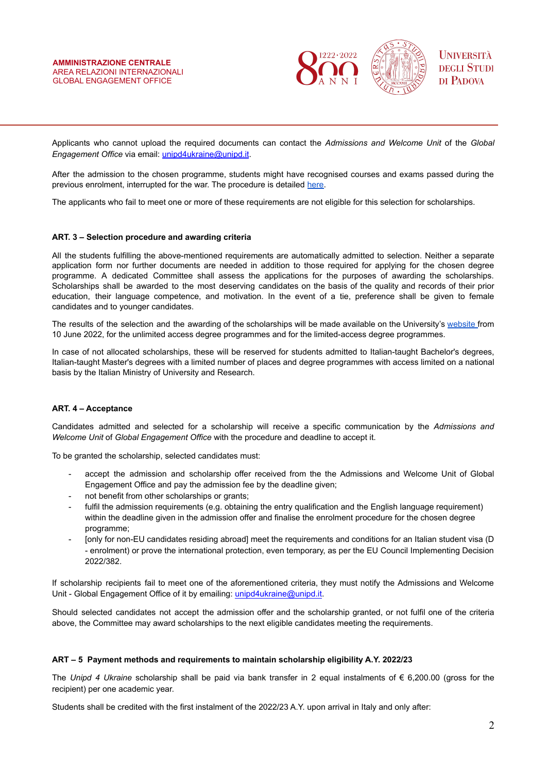

Applicants who cannot upload the required documents can contact the *Admissions and Welcome Unit* of the *Global Engagement Office* via email: [unipd4ukraine@unipd.it](mailto:unipd4ukraine@unipd.it).

After the admission to the chosen programme, students might have recognised courses and exams passed during the previous enrolment, interrupted for the war. The procedure is detailed [here.](https://www.unipd.it/en/credit-recognition)

The applicants who fail to meet one or more of these requirements are not eligible for this selection for scholarships.

#### **ART. 3 – Selection procedure and awarding criteria**

All the students fulfilling the above-mentioned requirements are automatically admitted to selection. Neither a separate application form nor further documents are needed in addition to those required for applying for the chosen degree programme. A dedicated Committee shall assess the applications for the purposes of awarding the scholarships. Scholarships shall be awarded to the most deserving candidates on the basis of the quality and records of their prior education, their language competence, and motivation. In the event of a tie, preference shall be given to female candidates and to younger candidates.

The results of the selection and the awarding of the scholarships will be made available on the University's [website](https://www.unipd.it/en/admission-results) from 10 June 2022, for the unlimited access degree programmes and for the limited-access degree programmes.

In case of not allocated scholarships, these will be reserved for students admitted to Italian-taught Bachelor's degrees, Italian-taught Master's degrees with a limited number of places and degree programmes with access limited on a national basis by the Italian Ministry of University and Research.

#### **ART. 4 – Acceptance**

Candidates admitted and selected for a scholarship will receive a specific communication by the *Admissions and Welcome Unit* of *Global Engagement Office* with the procedure and deadline to accept it.

To be granted the scholarship, selected candidates must:

- accept the admission and scholarship offer received from the the Admissions and Welcome Unit of Global Engagement Office and pay the admission fee by the deadline given;
- not benefit from other scholarships or grants;
- fulfil the admission requirements (e.g. obtaining the entry qualification and the English language requirement) within the deadline given in the admission offer and finalise the enrolment procedure for the chosen degree programme;
- [only for non-EU candidates residing abroad] meet the requirements and conditions for an Italian student visa (D - enrolment) or prove the international protection, even temporary, as per the EU Council Implementing Decision 2022/382.

If scholarship recipients fail to meet one of the aforementioned criteria, they must notify the Admissions and Welcome Unit - Global Engagement Office of it by emailing: [unipd4ukraine@unipd.it.](mailto:international.admission@unipd.it)

Should selected candidates not accept the admission offer and the scholarship granted, or not fulfil one of the criteria above, the Committee may award scholarships to the next eligible candidates meeting the requirements.

#### **ART – 5 Payment methods and requirements to maintain scholarship eligibility A.Y. 2022/23**

The *Unipd 4 Ukraine* scholarship shall be paid via bank transfer in 2 equal instalments of € 6,200.00 (gross for the recipient) per one academic year.

Students shall be credited with the first instalment of the 2022/23 A.Y. upon arrival in Italy and only after: